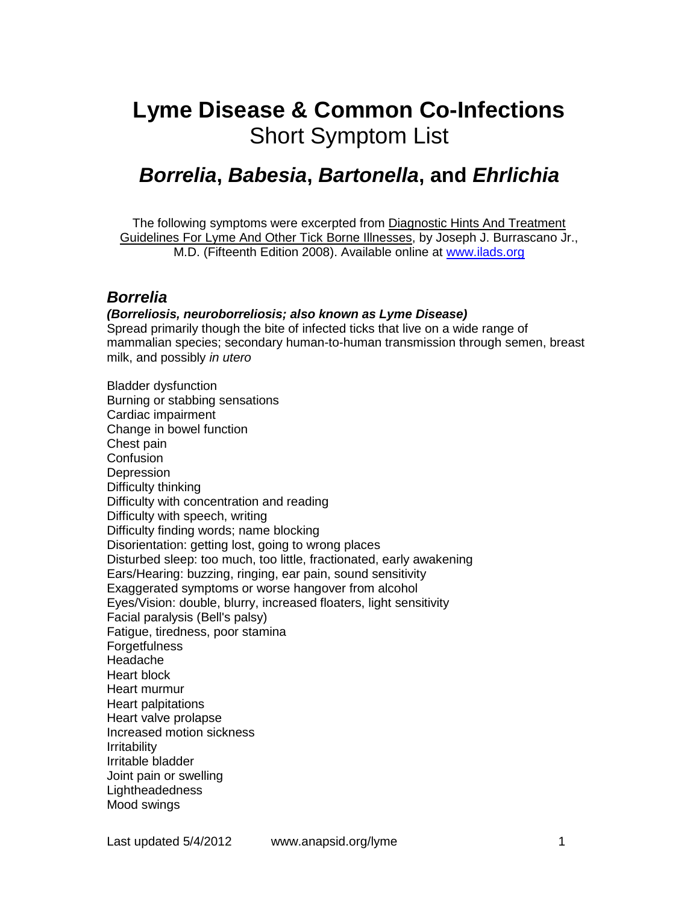# **Lyme Disease & Common Co-Infections** Short Symptom List

## *Borrelia***,** *Babesia***,** *Bartonella***, and** *Ehrlichia*

The following symptoms were excerpted from Diagnostic Hints And Treatment Guidelines For Lyme And Other Tick Borne Illnesses, by Joseph J. Burrascano Jr., M.D. (Fifteenth Edition 2008). Available online at www.ilads.org

## *Borrelia*

#### *(Borreliosis, neuroborreliosis; also known as Lyme Disease)*

Spread primarily though the bite of infected ticks that live on a wide range of mammalian species; secondary human-to-human transmission through semen, breast milk, and possibly *in utero*

Bladder dysfunction Burning or stabbing sensations Cardiac impairment Change in bowel function Chest pain **Confusion Depression** Difficulty thinking Difficulty with concentration and reading Difficulty with speech, writing Difficulty finding words; name blocking Disorientation: getting lost, going to wrong places Disturbed sleep: too much, too little, fractionated, early awakening Ears/Hearing: buzzing, ringing, ear pain, sound sensitivity Exaggerated symptoms or worse hangover from alcohol Eyes/Vision: double, blurry, increased floaters, light sensitivity Facial paralysis (Bell's palsy) Fatigue, tiredness, poor stamina **Forgetfulness** Headache Heart block Heart murmur Heart palpitations Heart valve prolapse Increased motion sickness Irritability Irritable bladder Joint pain or swelling **Lightheadedness** Mood swings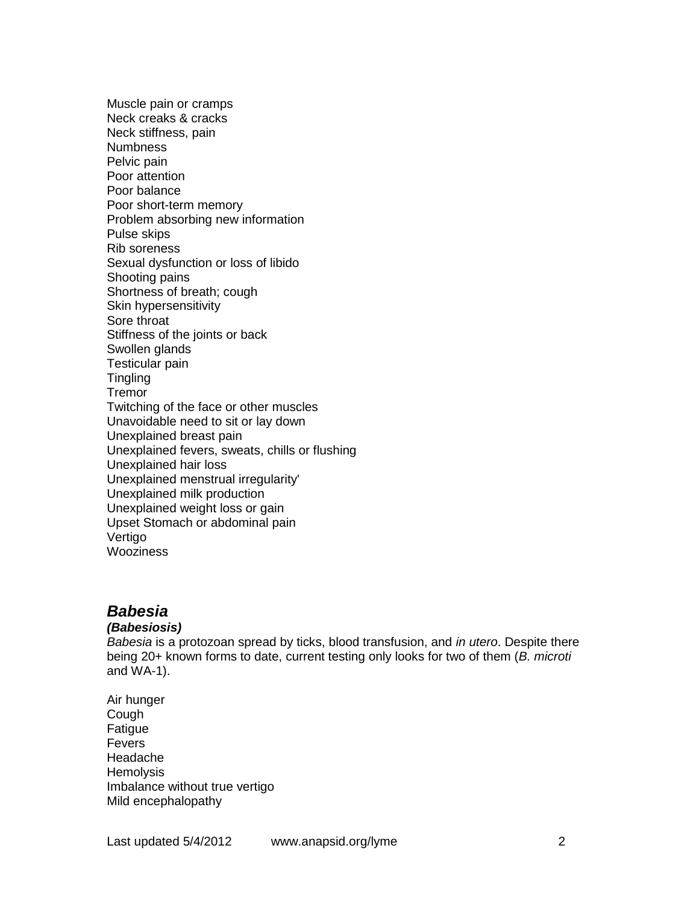Muscle pain or cramps Neck creaks & cracks Neck stiffness, pain Numbness Pelvic pain Poor attention Poor balance Poor short-term memory Problem absorbing new information Pulse skips Rib soreness Sexual dysfunction or loss of libido Shooting pains Shortness of breath; cough Skin hypersensitivity Sore throat Stiffness of the joints or back Swollen glands Testicular pain **Tingling Tremor** Twitching of the face or other muscles Unavoidable need to sit or lay down Unexplained breast pain Unexplained fevers, sweats, chills or flushing Unexplained hair loss Unexplained menstrual irregularity' Unexplained milk production Unexplained weight loss or gain Upset Stomach or abdominal pain Vertigo **Wooziness** 

## *Babesia*

#### *(Babesiosis)*

*Babesia* is a protozoan spread by ticks, blood transfusion, and *in utero*. Despite there being 20+ known forms to date, current testing only looks for two of them (*B. microti* and WA-1).

Air hunger Cough **Fatigue** Fevers Headache **Hemolysis** Imbalance without true vertigo Mild encephalopathy